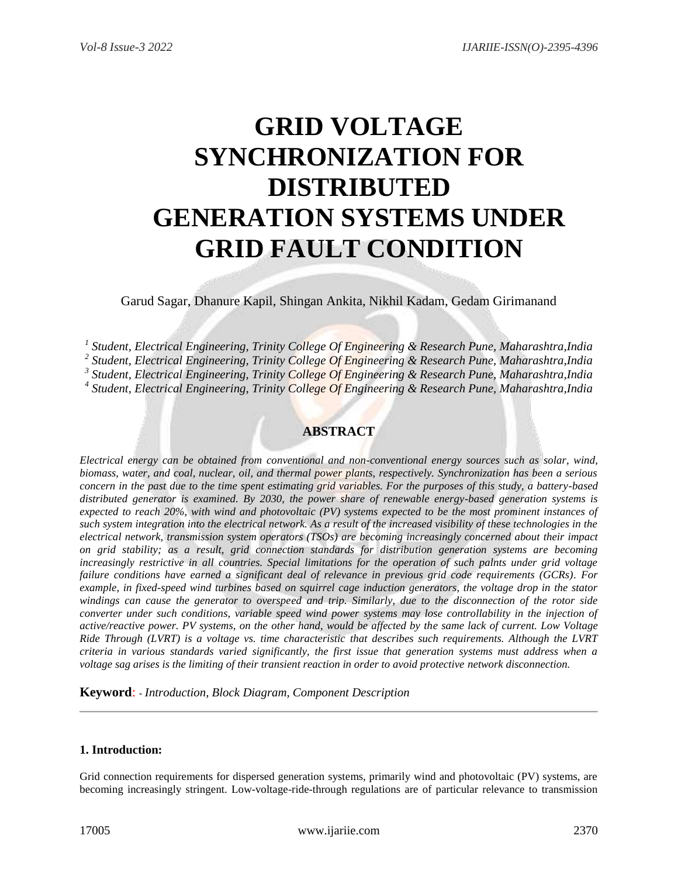# **GRID VOLTAGE SYNCHRONIZATION FOR DISTRIBUTED GENERATION SYSTEMS UNDER GRID FAULT CONDITION**

Garud Sagar, Dhanure Kapil, Shingan Ankita, Nikhil Kadam, Gedam Girimanand

 *Student, Electrical Engineering, Trinity College Of Engineering & Research Pune, Maharashtra,India Student, Electrical Engineering, Trinity College Of Engineering & Research Pune, Maharashtra,India Student, Electrical Engineering, Trinity College Of Engineering & Research Pune, Maharashtra,India Student, Electrical Engineering, Trinity College Of Engineering & Research Pune, Maharashtra,India*

# **ABSTRACT**

*Electrical energy can be obtained from conventional and non-conventional energy sources such as solar, wind, biomass, water, and coal, nuclear, oil, and thermal power plants, respectively. Synchronization has been a serious concern in the past due to the time spent estimating grid variables. For the purposes of this study, a battery-based distributed generator is examined. By 2030, the power share of renewable energy-based generation systems is expected to reach 20%, with wind and photovoltaic (PV) systems expected to be the most prominent instances of such system integration into the electrical network. As a result of the increased visibility of these technologies in the electrical network, transmission system operators (TSOs) are becoming increasingly concerned about their impact on grid stability; as a result, grid connection standards for distribution generation systems are becoming increasingly restrictive in all countries. Special limitations for the operation of such palnts under grid voltage failure conditions have earned a significant deal of relevance in previous grid code requirements (GCRs). For example, in fixed-speed wind turbines based on squirrel cage induction generators, the voltage drop in the stator windings can cause the generator to overspeed and trip. Similarly, due to the disconnection of the rotor side converter under such conditions, variable speed wind power systems may lose controllability in the injection of active/reactive power. PV systems, on the other hand, would be affected by the same lack of current. Low Voltage Ride Through (LVRT) is a voltage vs. time characteristic that describes such requirements. Although the LVRT criteria in various standards varied significantly, the first issue that generation systems must address when a voltage sag arises is the limiting of their transient reaction in order to avoid protective network disconnection.*

**Keyword**: *- Introduction, Block Diagram, Component Description*

# **1. Introduction:**

Grid connection requirements for dispersed generation systems, primarily wind and photovoltaic (PV) systems, are becoming increasingly stringent. Low-voltage-ride-through regulations are of particular relevance to transmission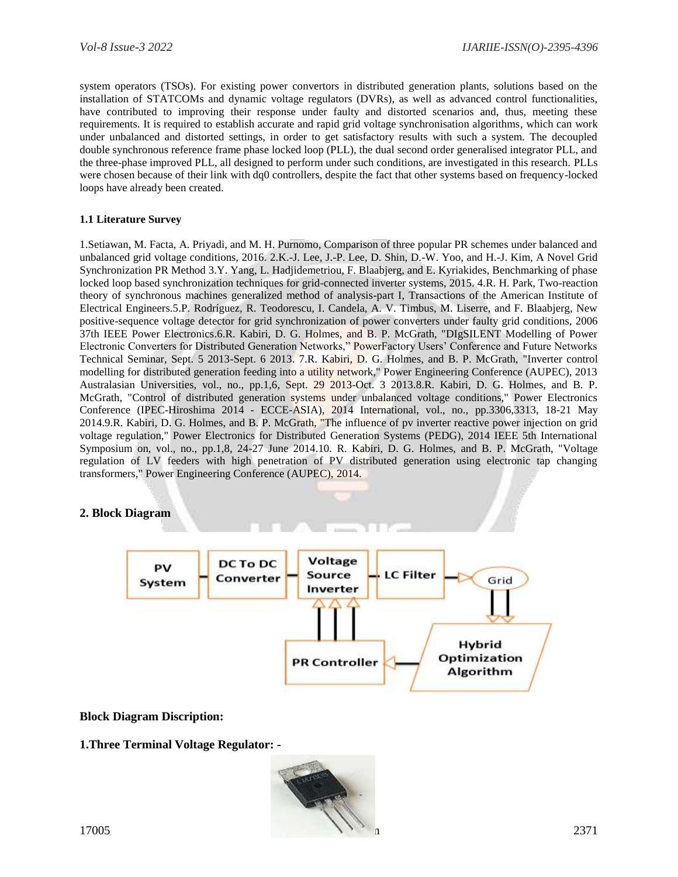system operators (TSOs). For existing power convertors in distributed generation plants, solutions based on the installation of STATCOMs and dynamic voltage regulators (DVRs), as well as advanced control functionalities, have contributed to improving their response under faulty and distorted scenarios and, thus, meeting these requirements. It is required to establish accurate and rapid grid voltage synchronisation algorithms, which can work under unbalanced and distorted settings, in order to get satisfactory results with such a system. The decoupled double synchronous reference frame phase locked loop (PLL), the dual second order generalised integrator PLL, and the three-phase improved PLL, all designed to perform under such conditions, are investigated in this research. PLLs were chosen because of their link with dq0 controllers, despite the fact that other systems based on frequency-locked loops have already been created.

# **1.1 Literature Survey**

1.Setiawan, M. Facta, A. Priyadi, and M. H. Purnomo, Comparison of three popular PR schemes under balanced and unbalanced grid voltage conditions, 2016. 2.K.-J. Lee, J.-P. Lee, D. Shin, D.-W. Yoo, and H.-J. Kim, A Novel Grid Synchronization PR Method 3.Y. Yang, L. Hadjidemetriou, F. Blaabjerg, and E. Kyriakides, Benchmarking of phase locked loop based synchronization techniques for grid-connected inverter systems, 2015. 4.R. H. Park, Two-reaction theory of synchronous machines generalized method of analysis-part I, Transactions of the American Institute of Electrical Engineers.5.P. Rodríguez, R. Teodorescu, I. Candela, A. V. Timbus, M. Liserre, and F. Blaabjerg, New positive-sequence voltage detector for grid synchronization of power converters under faulty grid conditions, 2006 37th IEEE Power Electronics.6.R. Kabiri, D. G. Holmes, and B. P. McGrath, "DIgSILENT Modelling of Power Electronic Converters for Distributed Generation Networks," PowerFactory Users' Conference and Future Networks Technical Seminar, Sept. 5 2013-Sept. 6 2013. 7.R. Kabiri, D. G. Holmes, and B. P. McGrath, "Inverter control modelling for distributed generation feeding into a utility network," Power Engineering Conference (AUPEC), 2013 Australasian Universities, vol., no., pp.1,6, Sept. 29 2013-Oct. 3 2013.8.R. Kabiri, D. G. Holmes, and B. P. McGrath, "Control of distributed generation systems under unbalanced voltage conditions," Power Electronics Conference (IPEC-Hiroshima 2014 - ECCE-ASIA), 2014 International, vol., no., pp.3306,3313, 18-21 May 2014.9.R. Kabiri, D. G. Holmes, and B. P. McGrath, "The influence of pv inverter reactive power injection on grid voltage regulation," Power Electronics for Distributed Generation Systems (PEDG), 2014 IEEE 5th International Symposium on, vol., no., pp.1,8, 24-27 June 2014.10. R. Kabiri, D. G. Holmes, and B. P. McGrath, "Voltage regulation of LV feeders with high penetration of PV distributed generation using electronic tap changing transformers," Power Engineering Conference (AUPEC), 2014.

# **2. Block Diagram**



# **Block Diagram Discription:**

**1.Three Terminal Voltage Regulator: -**

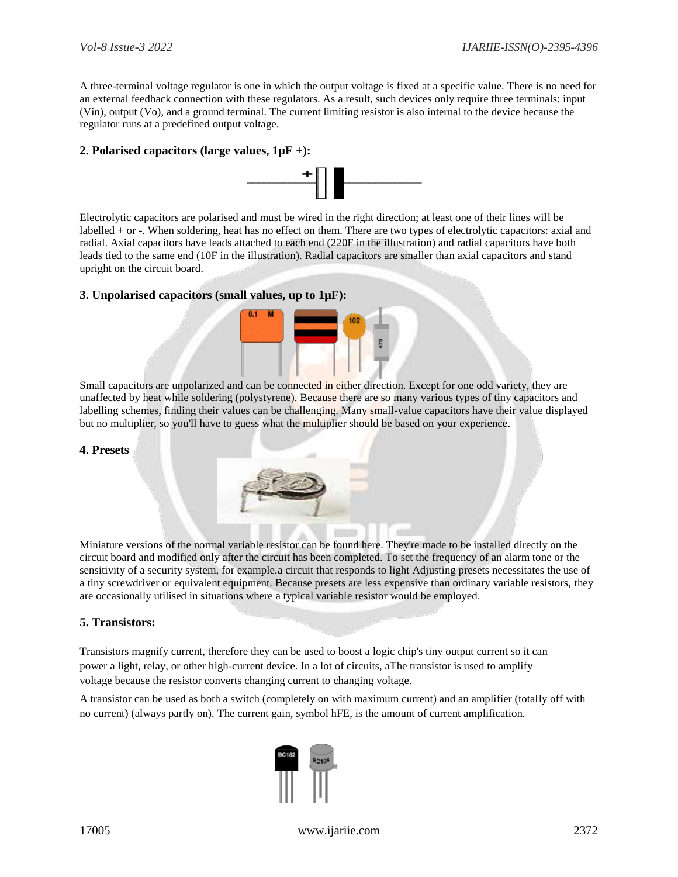A three-terminal voltage regulator is one in which the output voltage is fixed at a specific value. There is no need for an external feedback connection with these regulators. As a result, such devices only require three terminals: input (Vin), output (Vo), and a ground terminal. The current limiting resistor is also internal to the device because the regulator runs at a predefined output voltage.

## **2. Polarised capacitors (large values, 1µF +):**



Electrolytic capacitors are polarised and must be wired in the right direction; at least one of their lines will be labelled + or -. When soldering, heat has no effect on them. There are two types of electrolytic capacitors: axial and radial. Axial capacitors have leads attached to each end (220F in the illustration) and radial capacitors have both leads tied to the same end (10F in the illustration). Radial capacitors are smaller than axial capacitors and stand upright on the circuit board.

## **3. Unpolarised capacitors (small values, up to 1µF):**



Small capacitors are unpolarized and can be connected in either direction. Except for one odd variety, they are unaffected by heat while soldering (polystyrene). Because there are so many various types of tiny capacitors and labelling schemes, finding their values can be challenging. Many small-value capacitors have their value displayed but no multiplier, so you'll have to guess what the multiplier should be based on your experience.

#### **4. Presets**

Miniature versions of the normal variable resistor can be found here. They're made to be installed directly on the circuit board and modified only after the circuit has been completed. To set the frequency of an alarm tone or the sensitivity of a security system, for example.a circuit that responds to light Adjusting presets necessitates the use of a tiny screwdriver or equivalent equipment. Because presets are less expensive than ordinary variable resistors, they are occasionally utilised in situations where a typical variable resistor would be employed.

#### **5. Transistors:**

Transistors magnify current, therefore they can be used to boost a logic chip's tiny output current so it can power a light, relay, or other high-current device. In a lot of circuits, aThe transistor is used to amplify voltage because the resistor converts changing current to changing voltage.

A transistor can be used as both a switch (completely on with maximum current) and an amplifier (totally off with no current) (always partly on). The current gain, symbol hFE, is the amount of current amplification.

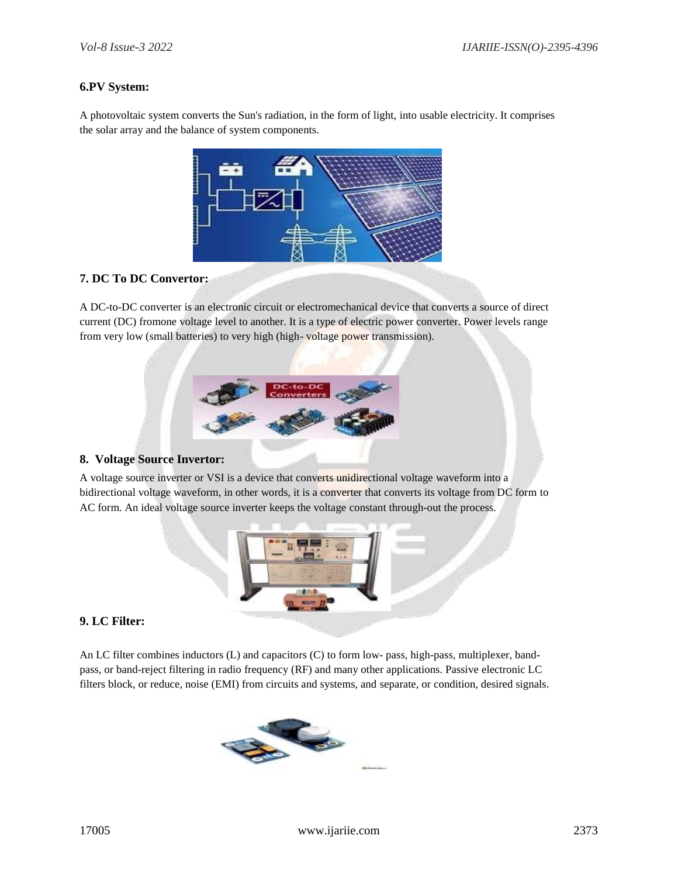## **6.PV System:**

A photovoltaic system converts the Sun's radiation, in the form of light, into usable electricity. It comprises the solar array and the balance of system components.



## **7. DC To DC Convertor:**

A DC-to-DC converter is an [electronic circuit o](https://en.wikipedia.org/wiki/Electronic_circuit)r electromechanical device that converts a source of [direct](https://en.wikipedia.org/wiki/Direct_current) [current](https://en.wikipedia.org/wiki/Direct_current) (DC) fromone [voltage l](https://en.wikipedia.org/wiki/Voltage)evel to another. It is a type of [electric power converter.](https://en.wikipedia.org/wiki/Electric_power_conversion) Power levels range from very low (small batteries) to very high (high-voltage power transmission).



#### **8. Voltage Source Invertor:**

A voltage source inverter or VSI is a device that converts unidirectional voltage waveform into a bidirectional voltage waveform, in other words, it is a converter that converts its voltage from DC form to AC form. An ideal voltage source inverter keeps the voltage constant through-out the process.



## **9. LC Filter:**

An LC filter combines inductors (L) and capacitors (C) to form low- pass, high-pass, multiplexer, bandpass, or band-reject filtering in radio frequency (RF) and many other applications. Passive electronic LC filters block, or reduce, noise (EMI) from circuits and systems, and separate, or condition, desired signals.

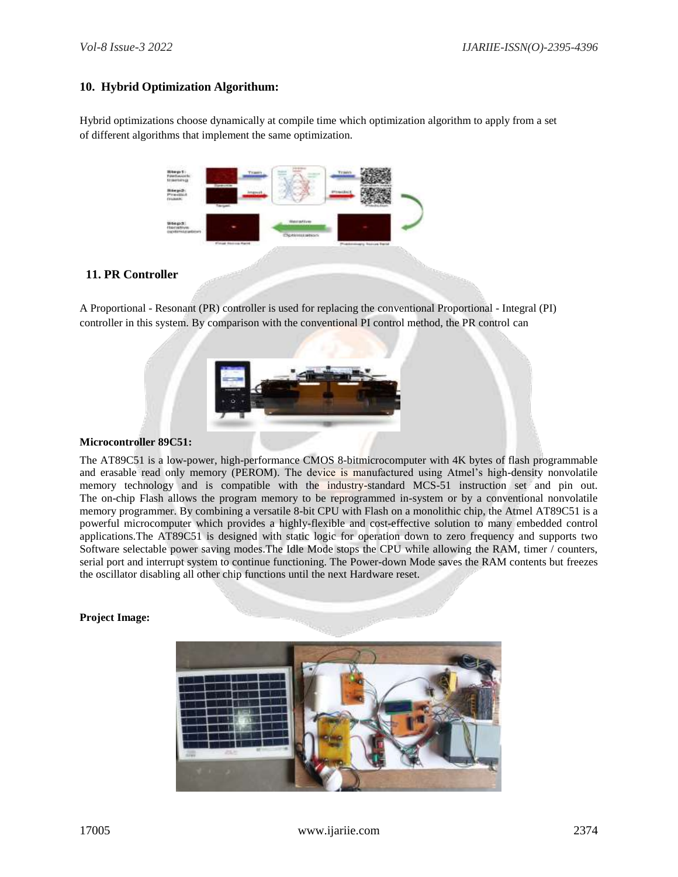### **10. Hybrid Optimization Algorithum:**

Hybrid optimizations choose dynamically at compile time which optimization algorithm to apply from a set of different algorithms that implement the same optimization.

| <b>Bissen2</b><br><b>SALENC</b><br><b>Arsenuel</b><br>Presided<br><b>FEBRUARY</b><br>$\eta =$<br><b>Service</b><br><b><i><u>Sand End Alacan</u></i></b>                |  |
|------------------------------------------------------------------------------------------------------------------------------------------------------------------------|--|
|                                                                                                                                                                        |  |
| <b>SCAN RY STATE</b><br><b>Horattee</b><br>0.66423<br><b><i><u>ALIMENT</u></i></b><br>Haristiva<br>optimization<br>Distintazioni<br>시간 장치의 소설 정치<br>Final Socioa Raint |  |
| Phoblomary Rolling Factor<br>lar                                                                                                                                       |  |

## **11. PR Controller**

A Proportional - Resonant (PR) controller is used for replacing the conventional Proportional - Integral (PI) controller in this system. By comparison with the conventional PI control method, the PR control can



#### **Microcontroller 89C51:**

The AT89C51 is a low-power, high-performance CMOS 8-bitmicrocomputer with 4K bytes of flash programmable and erasable read only memory (PEROM). The device is manufactured using Atmel's high-density nonvolatile memory technology and is compatible with the industry-standard MCS-51 instruction set and pin out. The on-chip Flash allows the program memory to be reprogrammed in-system or by a conventional nonvolatile memory programmer. By combining a versatile 8-bit CPU with Flash on a monolithic chip, the Atmel AT89C51 is a powerful microcomputer which provides a highly-flexible and cost-effective solution to many embedded control applications.The AT89C51 is designed with static logic for operation down to zero frequency and supports two Software selectable power saving modes.The Idle Mode stops the CPU while allowing the RAM, timer / counters, serial port and interrupt system to continue functioning. The Power-down Mode saves the RAM contents but freezes the oscillator disabling all other chip functions until the next Hardware reset.

#### **Project Image:**